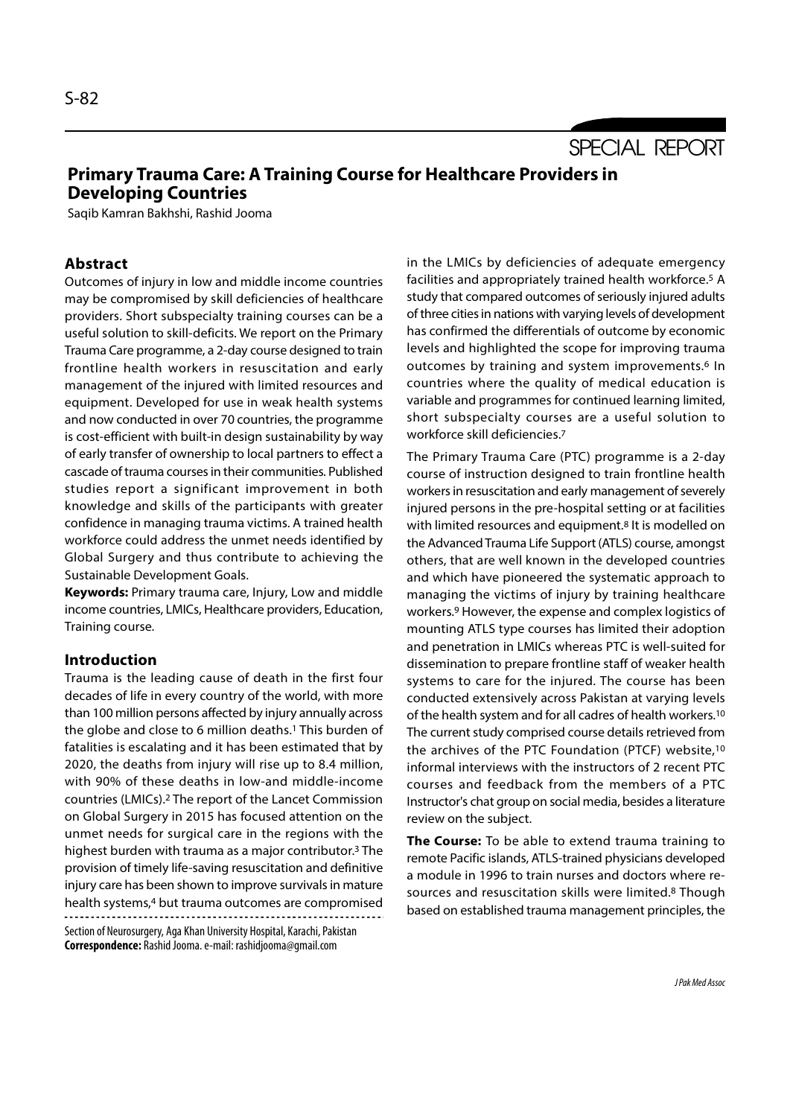SPECIAL REPORT

# Primary Trauma Care: A Training Course for Healthcare Providers in Developing Countries

Saqib Kamran Bakhshi, Rashid Jooma

# Abstract

Outcomes of injury in low and middle income countries may be compromised by skill deficiencies of healthcare providers. Short subspecialty training courses can be a useful solution to skill-deficits. We report on the Primary Trauma Care programme, a 2-day course designed to train frontline health workers in resuscitation and early management of the injured with limited resources and equipment. Developed for use in weak health systems and now conducted in over 70 countries, the programme is cost-efficient with built-in design sustainability by way of early transfer of ownership to local partners to effect a cascade of trauma courses in their communities. Published studies report a significant improvement in both knowledge and skills of the participants with greater confidence in managing trauma victims. A trained health workforce could address the unmet needs identified by Global Surgery and thus contribute to achieving the Sustainable Development Goals.

Keywords: Primary trauma care, Injury, Low and middle income countries, LMICs, Healthcare providers, Education, Training course.

# Introduction

Trauma is the leading cause of death in the first four decades of life in every country of the world, with more than 100 million persons affected by injury annually across the globe and close to 6 million deaths.<sup>1</sup> This burden of fatalities is escalating and it has been estimated that by 2020, the deaths from injury will rise up to 8.4 million, with 90% of these deaths in low-and middle-income countries (LMICs).2 The report of the Lancet Commission on Global Surgery in 2015 has focused attention on the unmet needs for surgical care in the regions with the highest burden with trauma as a major contributor.3 The provision of timely life-saving resuscitation and definitive injury care has been shown to improve survivals in mature health systems,4 but trauma outcomes are compromised

Section of Neurosurgery, Aga Khan University Hospital, Karachi, Pakistan Correspondence: Rashid Jooma. e-mail: rashidjooma@gmail.com

in the LMICs by deficiencies of adequate emergency facilities and appropriately trained health workforce.5 A study that compared outcomes of seriously injured adults of three cities in nations with varying levels of development has confirmed the differentials of outcome by economic levels and highlighted the scope for improving trauma outcomes by training and system improvements.6 In countries where the quality of medical education is variable and programmes for continued learning limited, short subspecialty courses are a useful solution to workforce skill deficiencies.7

The Primary Trauma Care (PTC) programme is a 2-day course of instruction designed to train frontline health workers in resuscitation and early management of severely injured persons in the pre-hospital setting or at facilities with limited resources and equipment.<sup>8</sup> It is modelled on the Advanced Trauma Life Support (ATLS) course, amongst others, that are well known in the developed countries and which have pioneered the systematic approach to managing the victims of injury by training healthcare workers.9 However, the expense and complex logistics of mounting ATLS type courses has limited their adoption and penetration in LMICs whereas PTC is well-suited for dissemination to prepare frontline staff of weaker health systems to care for the injured. The course has been conducted extensively across Pakistan at varying levels of the health system and for all cadres of health workers.10 The current study comprised course details retrieved from the archives of the PTC Foundation (PTCF) website,10 informal interviews with the instructors of 2 recent PTC courses and feedback from the members of a PTC Instructor's chat group on social media, besides a literature review on the subject.

The Course: To be able to extend trauma training to remote Pacific islands, ATLS-trained physicians developed a module in 1996 to train nurses and doctors where resources and resuscitation skills were limited.8 Though based on established trauma management principles, the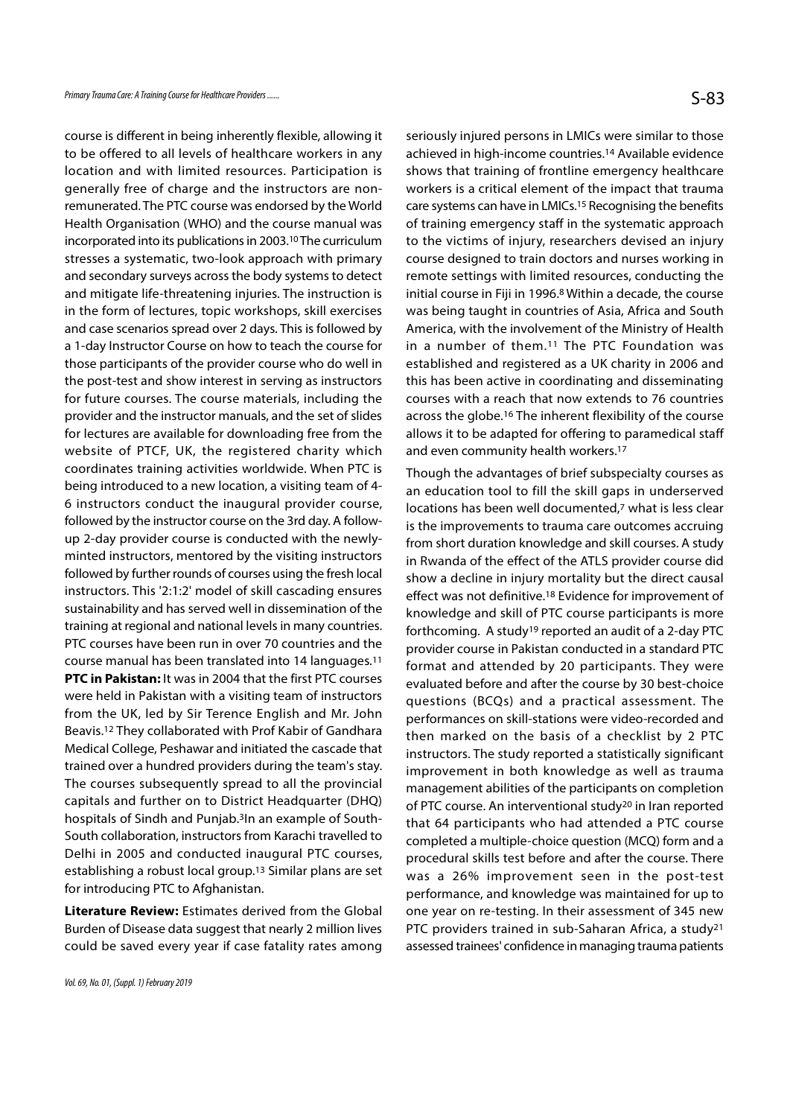course is different in being inherently flexible, allowing it to be offered to all levels of healthcare workers in any location and with limited resources. Participation is generally free of charge and the instructors are nonremunerated. The PTC course was endorsed by the World Health Organisation (WHO) and the course manual was incorporated into its publications in 2003.10 The curriculum stresses a systematic, two-look approach with primary and secondary surveys across the body systems to detect and mitigate life-threatening injuries. The instruction is in the form of lectures, topic workshops, skill exercises and case scenarios spread over 2 days. This is followed by a 1-day Instructor Course on how to teach the course for those participants of the provider course who do well in the post-test and show interest in serving as instructors for future courses. The course materials, including the provider and the instructor manuals, and the set of slides for lectures are available for downloading free from the website of PTCF, UK, the registered charity which coordinates training activities worldwide. When PTC is being introduced to a new location, a visiting team of 4- 6 instructors conduct the inaugural provider course, followed by the instructor course on the 3rd day. A followup 2-day provider course is conducted with the newlyminted instructors, mentored by the visiting instructors followed by further rounds of courses using the fresh local instructors. This '2:1:2' model of skill cascading ensures sustainability and has served well in dissemination of the training at regional and national levels in many countries. PTC courses have been run in over 70 countries and the course manual has been translated into 14 languages.11 PTC in Pakistan: It was in 2004 that the first PTC courses were held in Pakistan with a visiting team of instructors from the UK, led by Sir Terence English and Mr. John Beavis.12 They collaborated with Prof Kabir of Gandhara Medical College, Peshawar and initiated the cascade that trained over a hundred providers during the team's stay. The courses subsequently spread to all the provincial capitals and further on to District Headquarter (DHQ) hospitals of Sindh and Punjab.3In an example of South-South collaboration, instructors from Karachi travelled to Delhi in 2005 and conducted inaugural PTC courses, establishing a robust local group.13 Similar plans are set for introducing PTC to Afghanistan.

Literature Review: Estimates derived from the Global Burden of Disease data suggest that nearly 2 million lives could be saved every year if case fatality rates among seriously injured persons in LMICs were similar to those achieved in high-income countries.14 Available evidence shows that training of frontline emergency healthcare workers is a critical element of the impact that trauma care systems can have in LMICs.15 Recognising the benefits of training emergency staff in the systematic approach to the victims of injury, researchers devised an injury course designed to train doctors and nurses working in remote settings with limited resources, conducting the initial course in Fiji in 1996.8 Within a decade, the course was being taught in countries of Asia, Africa and South America, with the involvement of the Ministry of Health in a number of them.11 The PTC Foundation was established and registered as a UK charity in 2006 and this has been active in coordinating and disseminating courses with a reach that now extends to 76 countries across the globe.16 The inherent flexibility of the course allows it to be adapted for offering to paramedical staff and even community health workers.<sup>17</sup>

Though the advantages of brief subspecialty courses as an education tool to fill the skill gaps in underserved locations has been well documented,7 what is less clear is the improvements to trauma care outcomes accruing from short duration knowledge and skill courses. A study in Rwanda of the effect of the ATLS provider course did show a decline in injury mortality but the direct causal effect was not definitive.18 Evidence for improvement of knowledge and skill of PTC course participants is more forthcoming. A study19 reported an audit of a 2-day PTC provider course in Pakistan conducted in a standard PTC format and attended by 20 participants. They were evaluated before and after the course by 30 best-choice questions (BCQs) and a practical assessment. The performances on skill-stations were video-recorded and then marked on the basis of a checklist by 2 PTC instructors. The study reported a statistically significant improvement in both knowledge as well as trauma management abilities of the participants on completion of PTC course. An interventional study20 in Iran reported that 64 participants who had attended a PTC course completed a multiple-choice question (MCQ) form and a procedural skills test before and after the course. There was a 26% improvement seen in the post-test performance, and knowledge was maintained for up to one year on re-testing. In their assessment of 345 new PTC providers trained in sub-Saharan Africa, a study21 assessed trainees' confidence in managing trauma patients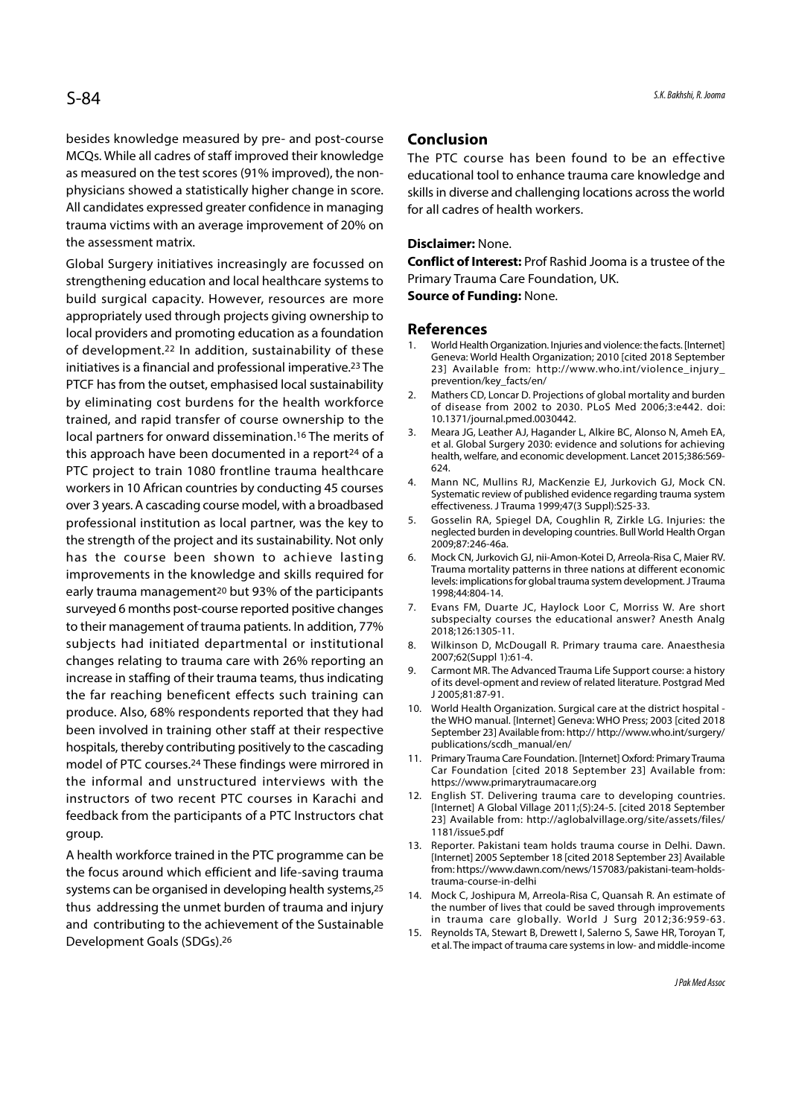besides knowledge measured by pre- and post-course MCQs. While all cadres of staff improved their knowledge as measured on the test scores (91% improved), the nonphysicians showed a statistically higher change in score. All candidates expressed greater confidence in managing trauma victims with an average improvement of 20% on the assessment matrix.

Global Surgery initiatives increasingly are focussed on strengthening education and local healthcare systems to build surgical capacity. However, resources are more appropriately used through projects giving ownership to local providers and promoting education as a foundation **References**<br>of dovelopment <sup>22</sup> In addition, sustainability of those 1. World Health Organization. Injuries and violence: the facts. [Internet] of development.22 In addition, sustainability of these initiatives is a financial and professional imperative.23 The PTCF has from the outset, emphasised local sustainability prevention/key\_facts/en/<br>1. The contract of the contract of the contract of the contract of the contract of the contract of the contract of the contract of the cont by eliminating cost burdens for the health workforce trained, and rapid transfer of course ownership to the 10.1371/journal.pmed.0030442.<br>Local partners for onward dissemination 16 The merits of 3. Meara JG, Leather AJ, Hagander L, Alkire BC, Alonso N, Ameh EA, local partners for onward dissemination.<sup>16</sup> The merits of <sup>3.</sup> this approach have been documented in a report<sup>24</sup> of a PTC project to train 1080 frontline trauma healthcare 624.<br>workers in 10 African countries by conducting 45 courses 4. Mann NC, Mullins RJ, MacKenzie EJ, Jurkovich GJ, Mock CN. workers in 10 African countries by conducting 45 courses over 3 years. A cascading course model, with a broadbased professional institution as local partner, was the key to 5. Gosselin RA, Spiegel DA, Coughlin R, Zirkle LG. Injuries: the the strength of the project and its sustainability. Not only has the course been shown to achieve lasting 6. MockCN, Jurkovich GJ, nii-Amon-Kotei D, Arreola-Risa C, Maier RV. improvements in the knowledge and skills required for early trauma management<sup>20</sup> but 93% of the participants surveyed 6 months post-course reported positive changes 7. Evans FM, Duarte JC, Haylock Loor C, Morriss W. Are short to their management of trauma patients. In addition, 77% subjects had initiated departmental or institutional 8. Wilkinson D, McDougall R. Primary trauma care. Anaesthesia changes relating to trauma care with 26% reporting an <sup>2007;62(Suppl 1):61-4</sup><br>carmont MR. The Advanced Trauma Life Support course: a history increase in staffing of their trauma teams, thus indicating the far reaching beneficent effects such training can<br>produce Also 68% respondents reported that they had 10. World Health Organization. Surgical care at the district hospital produce. Also, 68% respondents reported that they had been involved in training other staff at their respective hospitals, thereby contributing positively to the cascading publications/scdh\_manual/en/<br>model of RTC courses <sup>24</sup> These findings were mirrored in 11. Primary Trauma Care Foundation. [Internet] Oxford: Primary Trauma model of PTC courses.24 These findings were mirrored in the informal and unstructured interviews with the instructors of two recent PTC courses in Karachi and 12. English ST. Delivering trauma care to developing countries. feedback from the participants of a PTC Instructors chat group.

the focus around which efficient and life-saving trauma systems can be organised in developing health systems,<sup>25</sup> 14. Mock C, Joshipura M, Arreola-Risa C, Quansah R. An estimate of thus addressing the unmet burden of trauma and injury and contributing to the achievement of the Sustainable<br>15. Reynolds TA, Stewart B, Drewett I, Salerno S, Sawe HR, Toroyan T, Development Goals (SDGs).26

### Conclusion

The PTC course has been found to be an effective educational tool to enhance trauma care knowledge and skills in diverse and challenging locations across the world for all cadres of health workers.

#### Disclaimer: None.

Conflict of Interest: Prof Rashid Jooma is a trustee of the Primary Trauma Care Foundation, UK.

Source of Funding: None.

### References

- Skills in diverse and challenging locations across the world<br>for all cadres of health workers.<br>**Disclaimer:** None.<br>**Conflict of Interest:** Prof Rashid Jooma is a trustee of the<br>Primary Trauma Care Foundation, UK.<br>**Source o** Geneva: World Health Organization; 2010 [cited 2018 September 23] Available from: http://www.who.int/violence\_injury\_ prevention/key\_facts/en/ **Disclaimer:** None.<br> **Conflict of Interest:** Prof Rashid Jooma is a trustee of the<br>
Primary Trauma Care Foundation, UK.<br> **Source of Funding:** None.<br> **References**<br>
1. World Health Organization. Injuries and violence: the fa
- of disease from 2002 to 2030. PLoS Med 2006;3:e442. doi: 10.1371/journal.pmed.0030442.
- Primary Trauma Care Foundation, UK.<br> **Source of Funding:** None.<br> **References**<br>
1. World Health Organization; 2010 [cited 2018 September<br>
23] Available from: http://www.who.int/violence\_injury\_<br>
prevention/key\_facts/en/<br>
2. et al. Global Surgery 2030: evidence and solutions for achieving health, welfare, and economic development. Lancet 2015;386:569- 624. **References**<br>
1. World Health Organization. Injuries and violence: the facts. [Internet]<br>
Geneva: World Health Organization; 2010 [cited 2018 September<br>
23] Available from: http://www.who.int/violence\_injury\_<br>
prevention/k 23] Available from: http://www.who.int/violence\_injury\_<br>prevention/key\_facts/en/<br>2. Mathers CD, Loncar D. Projections of global mortality and burden<br>of disease from 2002 to 2030. PLoS Med 2006;3:e442. doi:<br>10.1371/journal. of disease from 2002 to 2030. PLoS Med 2006;3:e442. doi:<br>
10.1371/journal.pmed.0030442.<br>
3. Meara JG, Leather AJ, Hagander L, Alkire BC, Alonso N, Ameh EA,<br>
et al. Global Surgery 2030: evidence and solutions for achieving<br>
- Systematic review of published evidence regarding trauma system effectiveness. J Trauma 1999;47(3 Suppl):S25-33.
- neglected burden in developing countries. Bull World Health Organ 2009;87:246-46a.
- Trauma mortality patterns in three nations at different economic levels: implications for global trauma system development. J Trauma 1998;44:804-14. health, welfare, and economic development. Lancet 2015;386:569-624.<br>
4. Mann NC, Mullins RJ, MacKenzie EJ, Jurkovich GJ, Mock CN.<br>
Systematic review of published evidence regarding trauma system<br>
effectiveness. J Trauma 19 Systematic review of published evidence regarding trauma system<br>effectiveness. J Trauma 1999;47(3 Suppl):S25-33.<br>5. Gosselin RA, Spiegel DA, Coughlin R, Zirkle LG. Injuries: the<br>neglected burden in developing countries. Bu 5. Gosselin RA, Spiegel DA, Coughlin R, Zirkle LG. Injuries: the<br>neglected burden in developing countries. Bull World Health Organ<br>2009;87:246-46a.<br>6. Mock CN, Jurkovich GJ, nii-Amon-Kotei D, Arreola-Risa C, Maier RV.<br>Trau
- subspecialty courses the educational answer? Anesth Analg 2018;126:1305-11.
- 2007;62(Suppl 1):61-4.
- of its devel-opment and review of related literature. Postgrad Med J 2005;81:87-91.
- 6. Mock CN, Jurkovich GJ, nii-Amon-Kotei D, Arreola-Risa C, Maier RV.<br>
Trauma mortality patterns in three nations at different economic<br>
levels: implications for global trauma system development. J Trauma<br>
1998;44:804-14.<br> the WHO manual. [Internet] Geneva: WHO Press; 2003 [cited 2018 September 23] Available from: http:// http://www.who.int/surgery/ publications/scdh\_manual/en/ 7. Evans FM, Duarte JC, Haylock Loor C, Morriss W. Are short<br>subspecialty courses the educational answer? Anesth Analg<br>2018;126:1305-11.<br>Wikinson D, McDougall R. Primary trauma care. Anaesthesia<br>2007;62(Suppl 1):61-4.<br>9. C 8. Wilkinson D, McDougall R. Primary trauma care. Anaesthesia<br>
2007;62(Suppl 1):61-4.<br>
9. Carmont MR. The Advanced Trauma Life Support course: a history<br>
of its devel-opment and review of related literature. Postgrad Med<br> 12005;81:87-91.<br>
10. World Health Organization. Surgical care at the district hospital -<br>
the WHO manual. [Internet] Geneva: WHO Press; 2003 [cited 2018<br>
September 23] Available from: http:// http://www.who.int/surgery/<br>
p
- Car Foundation [cited 2018 September 23] Available from: https://www.primarytraumacare.org
- [Internet] A Global Village 2011;(5):24-5. [cited 2018 September 23] Available from: http://aglobalvillage.org/site/assets/files/ 1181/issue5.pdf
- A health workforce trained in the PTC programme can be and the metals Reporter. Pakistani team holds trauma course in Delhi. Dawn.<br>A health workforce trained in the PTC programme can be a support the finance of September 1 [Internet] 2005 September 18 [cited 2018 September 23] Available from: https://www.dawn.com/news/157083/pakistani-team-holdstrauma-course-in-delhi publications/scdh\_manual/en/<br>
11. Primary Trauma Care Foundation. [Internet] Oxford: Primary Trauma<br>
Car Foundation [cited 2018 September 23] Available from:<br>
https://www.primarytraumacare.org<br>
12. English ST. Delivering t 15.//www.primarytraumacare.org<br>
12. English ST. Delivering trauma care to developing countries.<br>
[Internet] A Global Village 2011;(5):24-5. [cited 2018 September<br>
23] Available from: http://aglobalvillage.org/site/assets/f
	- the number of lives that could be saved through improvements in trauma care globally. World J Surg 2012;36:959-63.
	- et al. The impact of trauma care systems in low- and middle-income